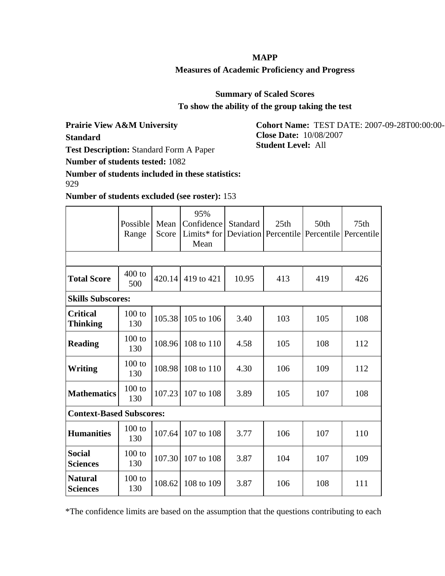## **MAPP**

## **Measures of Academic Proficiency and Progress**

**Summary of Scaled Scores**

**To show the ability of the group taking the test**

**Prairie View A&M University**

**Standard**

**Test Description:** Standard Form A Paper

**Number of students tested:** 1082

**Number of students included in these statistics:** 929

**Number of students excluded (see roster):** 153

|                                    | Possible<br>Range | Mean<br>Score | 95%<br>Confidence<br>Limits* for<br>Mean | Standard | 25 <sub>th</sub><br>Deviation   Percentile   Percentile   Percentile | 50 <sub>th</sub> | 75 <sub>th</sub> |
|------------------------------------|-------------------|---------------|------------------------------------------|----------|----------------------------------------------------------------------|------------------|------------------|
|                                    |                   |               |                                          |          |                                                                      |                  |                  |
| <b>Total Score</b>                 | $400$ to<br>500   | 420.14        | 419 to 421                               | 10.95    | 413                                                                  | 419              | 426              |
| <b>Skills Subscores:</b>           |                   |               |                                          |          |                                                                      |                  |                  |
| <b>Critical</b><br><b>Thinking</b> | $100$ to<br>130   | 105.38        | 105 to 106                               | 3.40     | 103                                                                  | 105              | 108              |
| <b>Reading</b>                     | $100$ to<br>130   | 108.96        | 108 to 110                               | 4.58     | 105                                                                  | 108              | 112              |
| Writing                            | $100$ to<br>130   | 108.98        | 108 to 110                               | 4.30     | 106                                                                  | 109              | 112              |
| <b>Mathematics</b>                 | $100$ to<br>130   | 107.23        | 107 to 108                               | 3.89     | 105                                                                  | 107              | 108              |
| <b>Context-Based Subscores:</b>    |                   |               |                                          |          |                                                                      |                  |                  |
| <b>Humanities</b>                  | $100$ to<br>130   | 107.64        | 107 to 108                               | 3.77     | 106                                                                  | 107              | 110              |
| <b>Social</b><br><b>Sciences</b>   | $100$ to<br>130   | 107.30        | 107 to 108                               | 3.87     | 104                                                                  | 107              | 109              |
| <b>Natural</b><br><b>Sciences</b>  | $100$ to<br>130   | 108.62        | 108 to 109                               | 3.87     | 106                                                                  | 108              | 111              |

\*The confidence limits are based on the assumption that the questions contributing to each

**Cohort Name:** TEST DATE: 2007-09-28T00:00:00- **Close Date:** 10/08/2007 **Student Level:** All